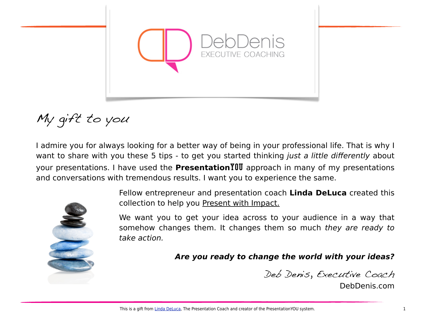

My gift to you

I admire you for always looking for a better way of being in your professional life. That is why I want to share with you these 5 tips - to get you started thinking *just a little di*ff*erently* about your presentations. I have used the **Presentation**YOU approach in many of my presentations and conversations with tremendous results. I want you to experience the same.



Fellow entrepreneur and presentation coach **Linda DeLuca** created this collection to help you Present with Impact.

We want you to get your idea across to your audience in a way that somehow changes them. It changes them so much *they are ready to take action.* 

*Are you ready to change the world with your ideas?*

Deb Denis, Executive Coach

DebDenis.com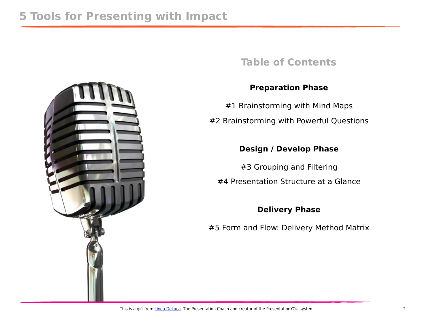### **Table of Contents**

### **Preparation Phase**

#1 Brainstorming with Mind Maps #2 Brainstorming with Powerful Questions

### **Design / Develop Phase**

#3 Grouping and Filtering #4 Presentation Structure at a Glance

### **Delivery Phase**

#5 Form and Flow: Delivery Method Matrix

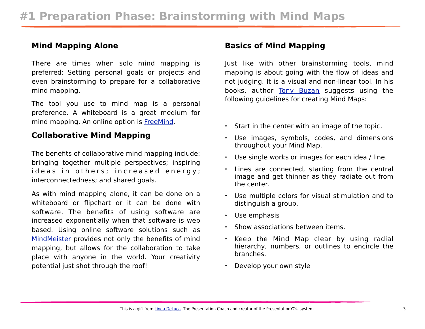#### **Mind Mapping Alone**

There are times when solo mind mapping is preferred: Setting personal goals or projects and even brainstorming to prepare for a collaborative mind mapping.

The tool you use to mind map is a personal preference. A whiteboard is a great medium for mind mapping. An online option is [FreeMind.](http://freemind.sourceforge.net/wiki/index.php/Main_Page)

#### **Collaborative Mind Mapping**

The benefits of collaborative mind mapping include: bringing together multiple perspectives; inspiring ideas in others; increased energy; interconnectedness; and shared goals.

As with mind mapping alone, it can be done on a whiteboard or flipchart or it can be done with software. The benefits of using software are increased exponentially when that software is web based. Using online software solutions such as [MindMeister](http://www.mindmeister.com/) provides not only the benefits of mind mapping, but allows for the collaboration to take place with anyone in the world. Your creativity potential just shot through the roof!

#### **Basics of Mind Mapping**

Just like with other brainstorming tools, mind mapping is about going with the flow of ideas and not judging. It is a visual and non-linear tool. In his books, author [Tony Buzan](http://en.wikipedia.org/wiki/Tony_Buzan) suggests using the following guidelines for creating Mind Maps:

- Start in the center with an image of the topic.
- Use images, symbols, codes, and dimensions throughout your Mind Map.
- Use single works or images for each idea / line.
- Lines are connected, starting from the central image and get thinner as they radiate out from the center.
- Use multiple colors for visual stimulation and to distinguish a group.
- Use emphasis
- Show associations between items.
- Keep the Mind Map clear by using radial hierarchy, numbers, or outlines to encircle the branches.
- Develop your own style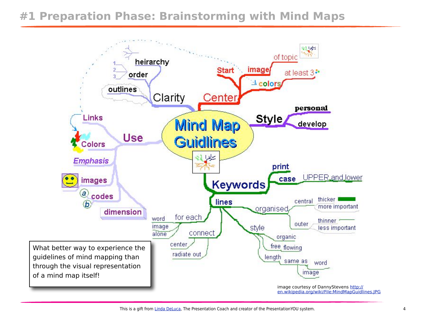## **#1 Preparation Phase: Brainstorming with Mind Maps**

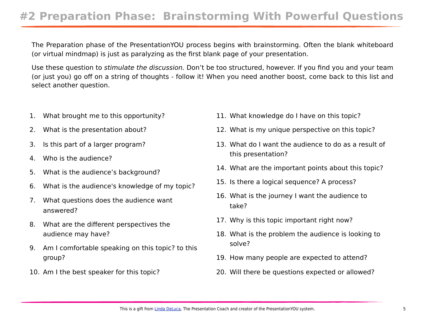## **#2 Preparation Phase: Brainstorming With Powerful Questions**

The Preparation phase of the PresentationYOU process begins with brainstorming. Often the blank whiteboard (or virtual mindmap) is just as paralyzing as the first blank page of your presentation.

Use these question to *stimulate the discussion.* Don't be too structured, however. If you find you and your team (or just you) go off on a string of thoughts - follow it! When you need another boost, come back to this list and select another question.

- 1. What brought me to this opportunity?
- 2. What is the presentation about?
- 3. Is this part of a larger program?
- 4. Who is the audience?
- 5. What is the audience's background?
- 6. What is the audience's knowledge of my topic?
- 7. What questions does the audience want answered?
- 8. What are the different perspectives the audience may have?
- 9. Am I comfortable speaking on this topic? to this group?
- 10. Am I the best speaker for this topic?
- 11. What knowledge do I have on this topic?
- 12. What is my unique perspective on this topic?
- 13. What do I want the audience to do as a result of this presentation?
- 14. What are the important points about this topic?
- 15. Is there a logical sequence? A process?
- 16. What is the journey I want the audience to take?
- 17. Why is this topic important right now?
- 18. What is the problem the audience is looking to solve?
- 19. How many people are expected to attend?
- 20. Will there be questions expected or allowed?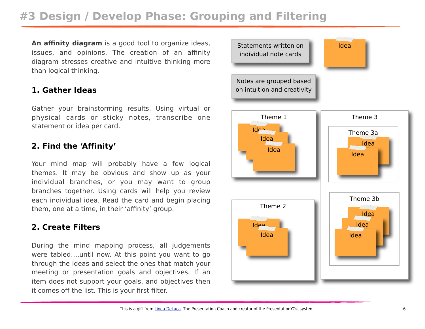## **#3 Design / Develop Phase: Grouping and Filtering**

**An affinity diagram** is a good tool to organize ideas, issues, and opinions. The creation of an affinity diagram stresses creative and intuitive thinking more than logical thinking.

#### **1. Gather Ideas**

Gather your brainstorming results. Using virtual or physical cards or sticky notes, transcribe one statement or idea per card.

#### **2. Find the 'Affinity'**

Your mind map will probably have a few logical themes. It may be obvious and show up as your individual branches, or you may want to group branches together. Using cards will help you review each individual idea. Read the card and begin placing them, one at a time, in their 'affinity' group.

#### **2. Create Filters**

During the mind mapping process, all judgements were tabled….until now. At this point you want to go through the ideas and select the ones that match your meeting or presentation goals and objectives. If an item does not support your goals, and objectives then it comes off the list. This is your first filter.

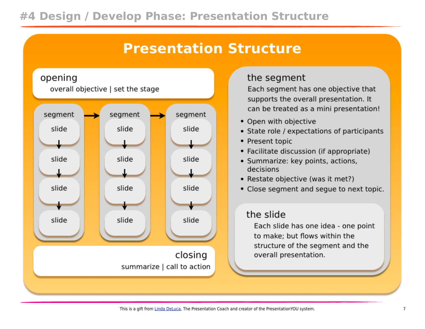## **#4 Design / Develop Phase: Presentation Structure**

# **Presentation Structure**



### the segment

Each segment has one objective that supports the overall presentation. It can be treated as a mini presentation!

- Open with objective
- State role / expectations of participants
- Present topic
- Facilitate discussion (if appropriate)
- · Summarize: key points, actions, decisions
- Restate objective (was it met?)
- Close segment and segue to next topic.

### the slide

Each slide has one idea - one point to make; but flows within the structure of the segment and the overall presentation.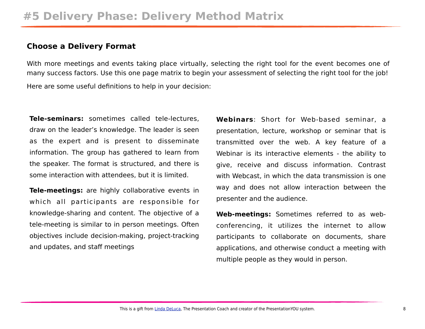#### **Choose a Delivery Format**

With more meetings and events taking place virtually, selecting the right tool for the event becomes one of many success factors. Use this one page matrix to begin your assessment of selecting the right tool for the job! Here are some useful definitions to help in your decision:

**Tele-seminars:** sometimes called tele-lectures, draw on the leader's knowledge. The leader is seen as the expert and is present to disseminate information. The group has gathered to learn from the speaker. The format is structured, and there is some interaction with attendees, but it is limited.

**Tele-meetings:** are highly collaborative events in which all participants are responsible for knowledge-sharing and content. The objective of a tele-meeting is similar to in person meetings. Often objectives include decision-making, project-tracking and updates, and staff meetings

**Webinars**: Short for Web-based seminar, a presentation, lecture, workshop or seminar that is transmitted over the web. A key feature of a Webinar is its interactive elements - the ability to give, receive and discuss information. Contrast with Webcast, in which the data transmission is one way and does not allow interaction between the presenter and the audience.

**Web-meetings:** Sometimes referred to as webconferencing, it utilizes the internet to allow participants to collaborate on documents, share applications, and otherwise conduct a meeting with multiple people as they would in person.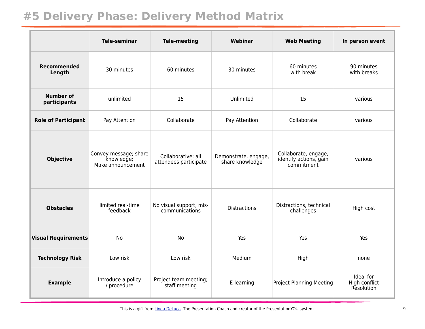## **#5 Delivery Phase: Delivery Method Matrix**

|                                  | <b>Tele-seminar</b>                                      | <b>Tele-meeting</b>                         | Webinar                                 | <b>Web Meeting</b>                                           | In person event                          |
|----------------------------------|----------------------------------------------------------|---------------------------------------------|-----------------------------------------|--------------------------------------------------------------|------------------------------------------|
| <b>Recommended</b><br>Length     | 30 minutes                                               | 60 minutes                                  | 30 minutes                              | 60 minutes<br>with break                                     | 90 minutes<br>with breaks                |
| <b>Number of</b><br>participants | unlimited                                                | 15                                          | Unlimited                               | 15                                                           | various                                  |
| <b>Role of Participant</b>       | Pay Attention                                            | Collaborate                                 | Pay Attention                           | Collaborate                                                  | various                                  |
| <b>Objective</b>                 | Convey message; share<br>knowledge;<br>Make announcement | Collaborative; all<br>attendees participate | Demonstrate, engage,<br>share knowledge | Collaborate, engage,<br>identify actions, gain<br>commitment | various                                  |
| <b>Obstacles</b>                 | limited real-time<br>feedback                            | No visual support, mis-<br>communications   | <b>Distractions</b>                     | Distractions, technical<br>challenges                        | High cost                                |
| <b>Visual Requirements</b>       | <b>No</b>                                                | <b>No</b>                                   | Yes                                     | Yes                                                          | Yes                                      |
| <b>Technology Risk</b>           | Low risk                                                 | Low risk                                    | Medium                                  | High                                                         | none                                     |
| <b>Example</b>                   | Introduce a policy<br>/ procedure                        | Project team meeting;<br>staff meeting      | E-learning                              | <b>Project Planning Meeting</b>                              | Ideal for<br>High conflict<br>Resolution |

This is a gift from [Linda DeLuca,](http://meet.lindadeluca.com/) The Presentation Coach and creator of the PresentationYOU system. 9